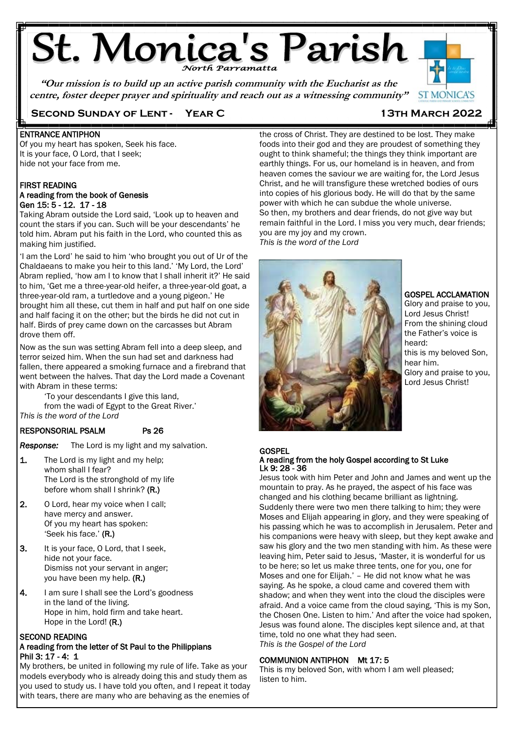# **St. Monica's Parish**

**"Our mission is to build up an active parish community with the Eucharist as the centre, foster deeper prayer and spirituality and reach out as a witnessing community"**



### **Second Sunday of Lent - Year C 13th March 2022**

### ENTRANCE ANTIPHON

Of you my heart has spoken, Seek his face. It is your face, O Lord, that I seek; hide not your face from me.

### FIRST READING A reading from the book of Genesis Gen 15: 5 - 12. 17 - 18

Taking Abram outside the Lord said, 'Look up to heaven and count the stars if you can. Such will be your descendants' he told him. Abram put his faith in the Lord, who counted this as making him justified.

'I am the Lord' he said to him 'who brought you out of Ur of the Chaldaeans to make you heir to this land.' 'My Lord, the Lord' Abram replied, 'how am I to know that I shall inherit it?' He said to him, 'Get me a three-year-old heifer, a three-year-old goat, a three-year-old ram, a turtledove and a young pigeon.' He brought him all these, cut them in half and put half on one side and half facing it on the other; but the birds he did not cut in half. Birds of prey came down on the carcasses but Abram drove them off.

Now as the sun was setting Abram fell into a deep sleep, and terror seized him. When the sun had set and darkness had fallen, there appeared a smoking furnace and a firebrand that went between the halves. That day the Lord made a Covenant with Abram in these terms:

'To your descendants I give this land, from the wadi of Egypt to the Great River.' *This is the word of the Lord*

### RESPONSORIAL PSALM Ps 26

*Response:* The Lord is my light and my salvation.

- 1. The Lord is my light and my help; whom shall I fear? The Lord is the stronghold of my life before whom shall I shrink? (R.)
- 2. O Lord, hear my voice when I call; have mercy and answer. Of you my heart has spoken: 'Seek his face.' (R.)
- 3. It is your face, O Lord, that I seek, hide not your face. Dismiss not your servant in anger; you have been my help. (R.)
- 4. I am sure I shall see the Lord's goodness in the land of the living. Hope in him, hold firm and take heart. Hope in the Lord! (R.)

### SECOND READING

### A reading from the letter of St Paul to the Philippians Phil 3: 17 - 4: 1

My brothers, be united in following my rule of life. Take as your models everybody who is already doing this and study them as you used to study us. I have told you often, and I repeat it today with tears, there are many who are behaving as the enemies of

the cross of Christ. They are destined to be lost. They make foods into their god and they are proudest of something they ought to think shameful; the things they think important are earthly things. For us, our homeland is in heaven, and from heaven comes the saviour we are waiting for, the Lord Jesus Christ, and he will transfigure these wretched bodies of ours into copies of his glorious body. He will do that by the same power with which he can subdue the whole universe. So then, my brothers and dear friends, do not give way but remain faithful in the Lord. I miss you very much, dear friends; you are my joy and my crown. *This is the word of the Lord*



GOSPEL ACCLAMATION

Glory and praise to you, Lord Jesus Christ! From the shining cloud the Father's voice is heard: this is my beloved Son, hear him. Glory and praise to you, Lord Jesus Christ!

#### **GOSPEL** A reading from the holy Gospel according to St Luke Lk 9: 28 - 36

Jesus took with him Peter and John and James and went up the mountain to pray. As he prayed, the aspect of his face was changed and his clothing became brilliant as lightning. Suddenly there were two men there talking to him; they were Moses and Elijah appearing in glory, and they were speaking of his passing which he was to accomplish in Jerusalem. Peter and his companions were heavy with sleep, but they kept awake and saw his glory and the two men standing with him. As these were leaving him, Peter said to Jesus, 'Master, it is wonderful for us to be here; so let us make three tents, one for you, one for Moses and one for Elijah.' – He did not know what he was saying. As he spoke, a cloud came and covered them with shadow; and when they went into the cloud the disciples were afraid. And a voice came from the cloud saying, 'This is my Son, the Chosen One. Listen to him.' And after the voice had spoken, Jesus was found alone. The disciples kept silence and, at that time, told no one what they had seen. *This is the Gospel of the Lord*

### COMMUNION ANTIPHON Mt 17: 5

This is my beloved Son, with whom I am well pleased; listen to him.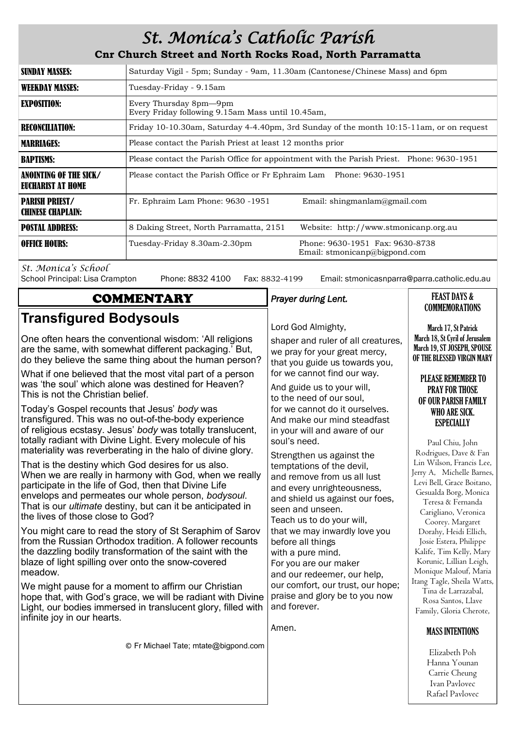# *St. Monica's Catholic Parish*

# **Cnr Church Street and North Rocks Road, North Parramatta**

| SUNDAY MASSES:                              | Saturday Vigil - 5pm; Sunday - 9am, 11.30am (Cantonese/Chinese Mass) and 6pm              |                                                                  |  |
|---------------------------------------------|-------------------------------------------------------------------------------------------|------------------------------------------------------------------|--|
| WEEKDAY MASSES:                             | Tuesday-Friday - 9.15am                                                                   |                                                                  |  |
| <b>EXPOSITION:</b>                          | Every Thursday 8pm—9pm<br>Every Friday following 9.15am Mass until 10.45am,               |                                                                  |  |
| <b>RECONCILIATION:</b>                      | Friday 10-10.30am, Saturday 4-4.40pm, 3rd Sunday of the month 10:15-11am, or on request   |                                                                  |  |
| <b>MARRIAGES:</b>                           | Please contact the Parish Priest at least 12 months prior                                 |                                                                  |  |
| <b>BAPTISMS:</b>                            | Please contact the Parish Office for appointment with the Parish Priest. Phone: 9630-1951 |                                                                  |  |
| ANOINTING OF THE SICK/<br>EUCHARIST AT HOME | Please contact the Parish Office or Fr Ephraim Lam Phone: 9630-1951                       |                                                                  |  |
| <b>PARISH PRIEST/</b><br>CHINESE CHAPLAIN:  | Fr. Ephraim Lam Phone: 9630 -1951                                                         | Email: shingmanlam@gmail.com                                     |  |
| <b>POSTAL ADDRESS:</b>                      | 8 Daking Street, North Parramatta, 2151                                                   | Website: http://www.stmonicanp.org.au                            |  |
| <b>OFFICE HOURS:</b>                        | Tuesday-Friday 8.30am-2.30pm                                                              | Phone: 9630-1951 Fax: 9630-8738<br>Email: stmonicanp@bigpond.com |  |

*St. Monica's School*

Phone: 8832 4100 Fax: 8832-4199 Email: stmonicasnparra@parra.catholic.edu.au

Rafael Pavlovec

| <b>COMMENTARY</b>                                                                                                                                                                                                                                                                                                                    | Prayer during Lent.                                                                                                                                                        | <b>FEAST DAYS &amp;</b>                                                                                                                          |
|--------------------------------------------------------------------------------------------------------------------------------------------------------------------------------------------------------------------------------------------------------------------------------------------------------------------------------------|----------------------------------------------------------------------------------------------------------------------------------------------------------------------------|--------------------------------------------------------------------------------------------------------------------------------------------------|
| <b>Transfigured Bodysouls</b>                                                                                                                                                                                                                                                                                                        | Lord God Almighty,                                                                                                                                                         | <b>COMMEMORATIONS</b><br>March 17, St Patrick                                                                                                    |
| One often hears the conventional wisdom: 'All religions<br>are the same, with somewhat different packaging.' But,<br>do they believe the same thing about the human person?                                                                                                                                                          | shaper and ruler of all creatures,<br>we pray for your great mercy,<br>that you guide us towards you,                                                                      | March 18, St Cyril of Jerusalem<br>March 19, ST JOSEPH, SPOUSE<br>OF THE BLESSED VIRGIN MARY                                                     |
| What if one believed that the most vital part of a person<br>was 'the soul' which alone was destined for Heaven?<br>This is not the Christian belief.                                                                                                                                                                                | for we cannot find our way.<br>And guide us to your will,<br>to the need of our soul,                                                                                      | <b>PLEASE REMEMBER TO</b><br><b>PRAY FOR THOSE</b><br>OF OUR PARISH FAMILY                                                                       |
| Today's Gospel recounts that Jesus' body was<br>transfigured. This was no out-of-the-body experience<br>of religious ecstasy. Jesus' body was totally translucent,<br>totally radiant with Divine Light. Every molecule of his                                                                                                       | for we cannot do it ourselves.<br>And make our mind steadfast<br>in your will and aware of our<br>soul's need.                                                             | WHO ARE SICK.<br><b>ESPECIALLY</b>                                                                                                               |
| materiality was reverberating in the halo of divine glory.                                                                                                                                                                                                                                                                           | Strengthen us against the                                                                                                                                                  | Paul Chiu, John<br>Rodrigues, Dave & Fan<br>Lin Wilson, Francis Lee,                                                                             |
| That is the destiny which God desires for us also.<br>When we are really in harmony with God, when we really<br>participate in the life of God, then that Divine Life<br>envelops and permeates our whole person, bodysoul.<br>That is our <i>ultimate</i> destiny, but can it be anticipated in<br>the lives of those close to God? | temptations of the devil,<br>and remove from us all lust<br>and every unrighteousness,<br>and shield us against our foes,<br>seen and unseen.<br>Teach us to do your will, | Jerry A, Michelle Barnes,<br>Levi Bell, Grace Boitano,<br>Gesualda Borg, Monica<br>Teresa & Fernanda<br>Carigliano, Veronica<br>Coorey. Margaret |
| You might care to read the story of St Seraphim of Sarov<br>from the Russian Orthodox tradition. A follower recounts<br>the dazzling bodily transformation of the saint with the<br>blaze of light spilling over onto the snow-covered<br>meadow.                                                                                    | that we may inwardly love you<br>before all things<br>with a pure mind.<br>For you are our maker<br>and our redeemer, our help,                                            | Dorahy, Heidi Ellich,<br>Josie Estera, Philippe<br>Kalife, Tim Kelly, Mary<br>Korunic, Lillian Leigh,<br>Monique Malouf, Maria                   |
| We might pause for a moment to affirm our Christian<br>hope that, with God's grace, we will be radiant with Divine<br>Light, our bodies immersed in translucent glory, filled with<br>infinite joy in our hearts.                                                                                                                    | our comfort, our trust, our hope;<br>praise and glory be to you now<br>and forever.                                                                                        | Itang Tagle, Sheila Watts,<br>Tina de Larrazabal,<br>Rosa Santos, Llave<br>Family, Gloria Cherote,                                               |
|                                                                                                                                                                                                                                                                                                                                      | Amen.                                                                                                                                                                      | <b>MASS INTENTIONS</b>                                                                                                                           |
| © Fr Michael Tate; mtate@bigpond.com                                                                                                                                                                                                                                                                                                 |                                                                                                                                                                            | Elizabeth Poh<br>Hanna Younan<br>Carrie Cheung<br>Ivan Pavlovec                                                                                  |